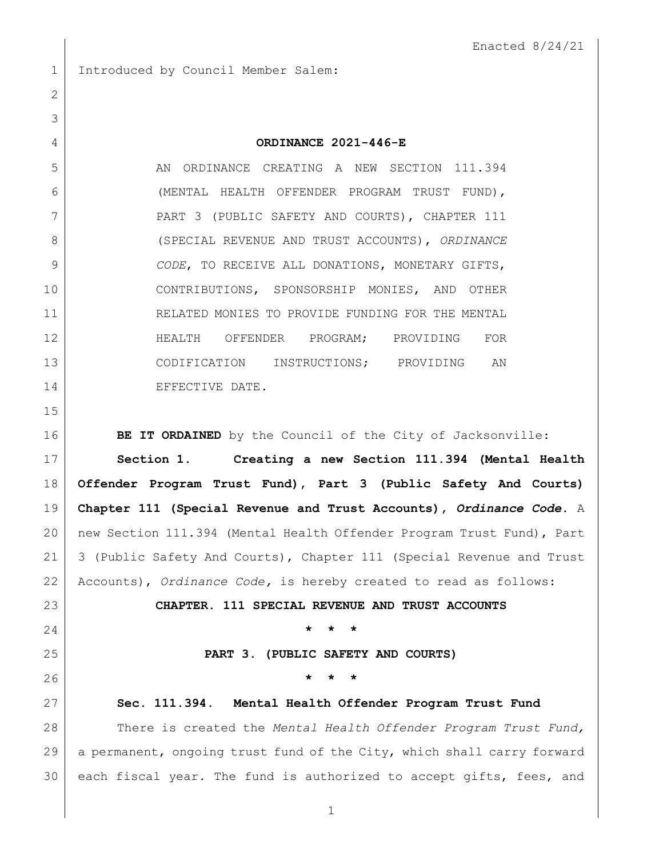1 Introduced by Council Member Salem:

## **ORDINANCE 2021-446-E**

5 AN ORDINANCE CREATING A NEW SECTION 111.394 (MENTAL HEALTH OFFENDER PROGRAM TRUST FUND), 7 PART 3 (PUBLIC SAFETY AND COURTS), CHAPTER 111 (SPECIAL REVENUE AND TRUST ACCOUNTS), *ORDINANCE CODE*, TO RECEIVE ALL DONATIONS, MONETARY GIFTS, CONTRIBUTIONS, SPONSORSHIP MONIES, AND OTHER RELATED MONIES TO PROVIDE FUNDING FOR THE MENTAL HEALTH OFFENDER PROGRAM; PROVIDING FOR CODIFICATION INSTRUCTIONS; PROVIDING AN 14 EFFECTIVE DATE.

**BE IT ORDAINED** by the Council of the City of Jacksonville:

 **Section 1. Creating a new Section 111.394 (Mental Health Offender Program Trust Fund), Part 3 (Public Safety And Courts) Chapter 111 (Special Revenue and Trust Accounts),** *Ordinance Code***.** A new Section 111.394 (Mental Health Offender Program Trust Fund), Part 3 (Public Safety And Courts), Chapter 111 (Special Revenue and Trust Accounts), *Ordinance Code,* is hereby created to read as follows:

**CHAPTER. 111 SPECIAL REVENUE AND TRUST ACCOUNTS**

**\* \* \***

**PART 3. (PUBLIC SAFETY AND COURTS)**

**\* \* \***

 **Sec. 111.394. Mental Health Offender Program Trust Fund** There is created the *Mental Health Offender Program Trust Fund,* a permanent, ongoing trust fund of the City, which shall carry forward 30 each fiscal year. The fund is authorized to accept gifts, fees, and